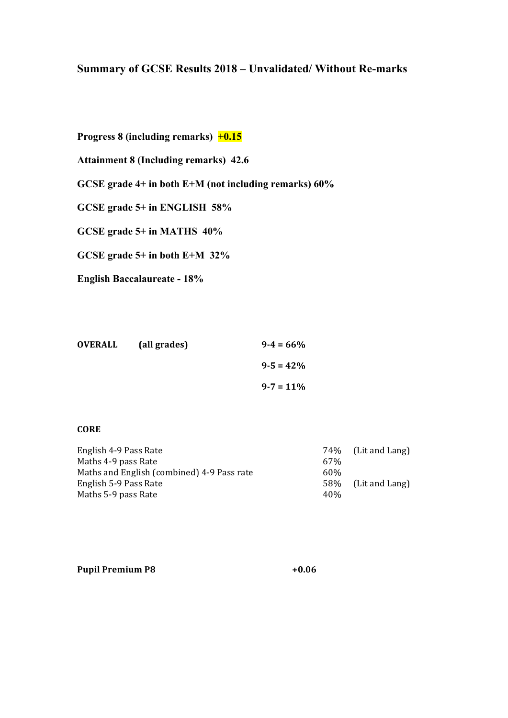# **Summary of GCSE Results 2018 – Unvalidated/ Without Re-marks**

**Progress 8 (including remarks) +0.15**

**Attainment 8 (Including remarks) 42.6**

**GCSE grade 4+ in both E+M (not including remarks) 60%**

**GCSE grade 5+ in ENGLISH 58%**

**GCSE grade 5+ in MATHS 40%**

**GCSE grade 5+ in both E+M 32%**

**English Baccalaureate - 18%**

| <b>OVERALL</b> | (all grades) | $9 - 4 = 66\%$ |
|----------------|--------------|----------------|
|                |              | $9 - 5 = 42\%$ |
|                |              | $9 - 7 = 11\%$ |

#### **CORE**

| English 4-9 Pass Rate                      |      | 74\% (Lit and Lang) |
|--------------------------------------------|------|---------------------|
| Maths 4-9 pass Rate                        | 67%  |                     |
| Maths and English (combined) 4-9 Pass rate | 60%  |                     |
| English 5-9 Pass Rate                      |      | 58% (Lit and Lang)  |
| Maths 5-9 pass Rate                        | 40\% |                     |

| <b>Pupil Premium P8</b> | $+0.06$ |
|-------------------------|---------|
|-------------------------|---------|